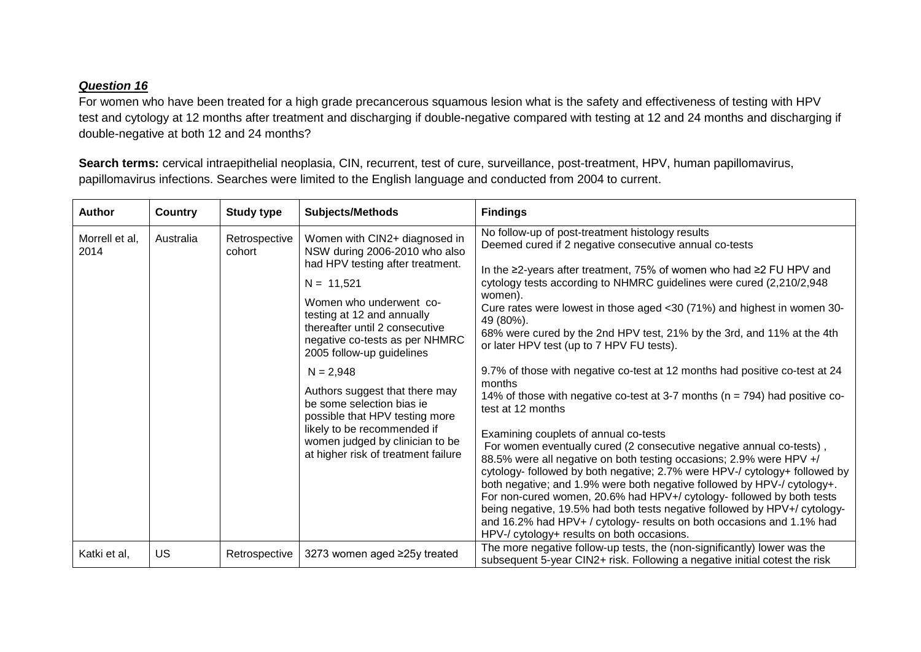## *Question 16*

For women who have been treated for a high grade precancerous squamous lesion what is the safety and effectiveness of testing with HPV test and cytology at 12 months after treatment and discharging if double-negative compared with testing at 12 and 24 months and discharging if double-negative at both 12 and 24 months?

**Search terms:** cervical intraepithelial neoplasia, CIN, recurrent, test of cure, surveillance, post-treatment, HPV, human papillomavirus, papillomavirus infections. Searches were limited to the English language and conducted from 2004 to current.

| <b>Author</b>          | <b>Country</b> | <b>Study type</b>       | <b>Subjects/Methods</b>                                                                                                                                                                                                                                                                                                                                                                                                                                                                               | <b>Findings</b>                                                                                                                                                                                                                                                                                                                                                                                                                                                                                                                                                                                                                                                                                                                                                                                                                                                                                                                                                                                                                                                                                                                                                                                                                                                                                                    |
|------------------------|----------------|-------------------------|-------------------------------------------------------------------------------------------------------------------------------------------------------------------------------------------------------------------------------------------------------------------------------------------------------------------------------------------------------------------------------------------------------------------------------------------------------------------------------------------------------|--------------------------------------------------------------------------------------------------------------------------------------------------------------------------------------------------------------------------------------------------------------------------------------------------------------------------------------------------------------------------------------------------------------------------------------------------------------------------------------------------------------------------------------------------------------------------------------------------------------------------------------------------------------------------------------------------------------------------------------------------------------------------------------------------------------------------------------------------------------------------------------------------------------------------------------------------------------------------------------------------------------------------------------------------------------------------------------------------------------------------------------------------------------------------------------------------------------------------------------------------------------------------------------------------------------------|
| Morrell et al,<br>2014 | Australia      | Retrospective<br>cohort | Women with CIN2+ diagnosed in<br>NSW during 2006-2010 who also<br>had HPV testing after treatment.<br>$N = 11,521$<br>Women who underwent co-<br>testing at 12 and annually<br>thereafter until 2 consecutive<br>negative co-tests as per NHMRC<br>2005 follow-up guidelines<br>$N = 2,948$<br>Authors suggest that there may<br>be some selection bias ie<br>possible that HPV testing more<br>likely to be recommended if<br>women judged by clinician to be<br>at higher risk of treatment failure | No follow-up of post-treatment histology results<br>Deemed cured if 2 negative consecutive annual co-tests<br>In the ≥2-years after treatment, 75% of women who had ≥2 FU HPV and<br>cytology tests according to NHMRC guidelines were cured (2,210/2,948<br>women).<br>Cure rates were lowest in those aged <30 (71%) and highest in women 30-<br>49 (80%).<br>68% were cured by the 2nd HPV test, 21% by the 3rd, and 11% at the 4th<br>or later HPV test (up to 7 HPV FU tests).<br>9.7% of those with negative co-test at 12 months had positive co-test at 24<br>months<br>14% of those with negative co-test at 3-7 months ( $n = 794$ ) had positive co-<br>test at 12 months<br>Examining couplets of annual co-tests<br>For women eventually cured (2 consecutive negative annual co-tests),<br>88.5% were all negative on both testing occasions; 2.9% were HPV +/<br>cytology- followed by both negative; 2.7% were HPV-/ cytology+ followed by<br>both negative; and 1.9% were both negative followed by HPV-/ cytology+.<br>For non-cured women, 20.6% had HPV+/ cytology- followed by both tests<br>being negative, 19.5% had both tests negative followed by HPV+/ cytology-<br>and 16.2% had HPV+ / cytology- results on both occasions and 1.1% had<br>HPV-/ cytology+ results on both occasions. |
| Katki et al,           | <b>US</b>      | Retrospective           | 3273 women aged ≥25y treated                                                                                                                                                                                                                                                                                                                                                                                                                                                                          | The more negative follow-up tests, the (non-significantly) lower was the<br>subsequent 5-year CIN2+ risk. Following a negative initial cotest the risk                                                                                                                                                                                                                                                                                                                                                                                                                                                                                                                                                                                                                                                                                                                                                                                                                                                                                                                                                                                                                                                                                                                                                             |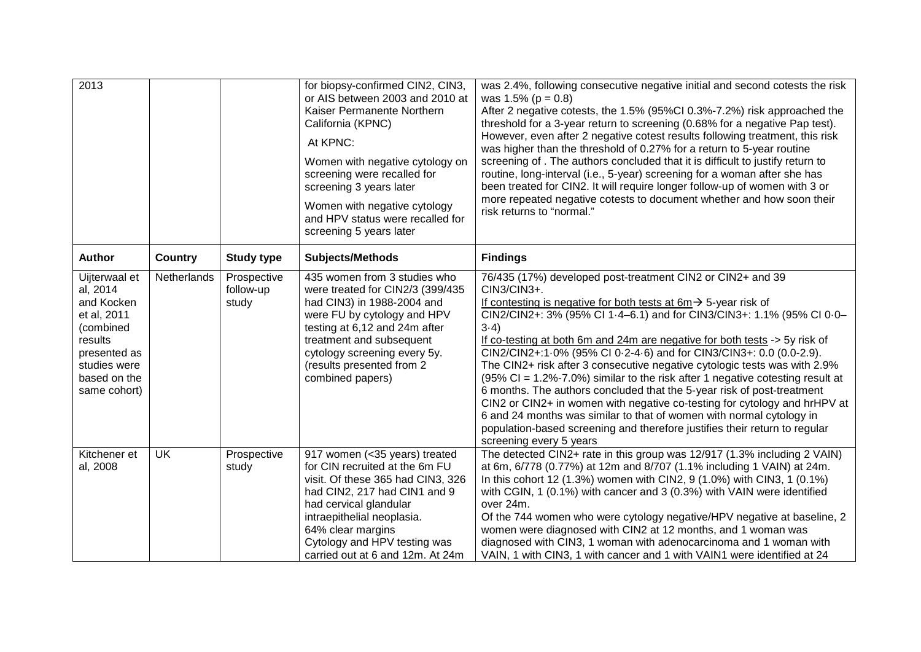| 2013                                                                                                                                           |                |                                   | for biopsy-confirmed CIN2, CIN3,<br>or AIS between 2003 and 2010 at<br>Kaiser Permanente Northern<br>California (KPNC)<br>At KPNC:<br>Women with negative cytology on<br>screening were recalled for<br>screening 3 years later<br>Women with negative cytology<br>and HPV status were recalled for<br>screening 5 years later | was 2.4%, following consecutive negative initial and second cotests the risk<br>was $1.5\%$ (p = 0.8)<br>After 2 negative cotests, the 1.5% (95%CI 0.3%-7.2%) risk approached the<br>threshold for a 3-year return to screening (0.68% for a negative Pap test).<br>However, even after 2 negative cotest results following treatment, this risk<br>was higher than the threshold of 0.27% for a return to 5-year routine<br>screening of . The authors concluded that it is difficult to justify return to<br>routine, long-interval (i.e., 5-year) screening for a woman after she has<br>been treated for CIN2. It will require longer follow-up of women with 3 or<br>more repeated negative cotests to document whether and how soon their<br>risk returns to "normal."                                                                                                                                           |
|------------------------------------------------------------------------------------------------------------------------------------------------|----------------|-----------------------------------|--------------------------------------------------------------------------------------------------------------------------------------------------------------------------------------------------------------------------------------------------------------------------------------------------------------------------------|------------------------------------------------------------------------------------------------------------------------------------------------------------------------------------------------------------------------------------------------------------------------------------------------------------------------------------------------------------------------------------------------------------------------------------------------------------------------------------------------------------------------------------------------------------------------------------------------------------------------------------------------------------------------------------------------------------------------------------------------------------------------------------------------------------------------------------------------------------------------------------------------------------------------|
| Author                                                                                                                                         | <b>Country</b> | <b>Study type</b>                 | <b>Subjects/Methods</b>                                                                                                                                                                                                                                                                                                        | <b>Findings</b>                                                                                                                                                                                                                                                                                                                                                                                                                                                                                                                                                                                                                                                                                                                                                                                                                                                                                                        |
| Uijterwaal et<br>al, 2014<br>and Kocken<br>et al, 2011<br>(combined<br>results<br>presented as<br>studies were<br>based on the<br>same cohort) | Netherlands    | Prospective<br>follow-up<br>study | 435 women from 3 studies who<br>were treated for CIN2/3 (399/435<br>had CIN3) in 1988-2004 and<br>were FU by cytology and HPV<br>testing at 6,12 and 24m after<br>treatment and subsequent<br>cytology screening every 5y.<br>(results presented from 2<br>combined papers)                                                    | 76/435 (17%) developed post-treatment CIN2 or CIN2+ and 39<br>CIN3/CIN3+.<br>If contesting is negative for both tests at $6m \rightarrow 5$ -year risk of<br>CIN2/CIN2+: 3% (95% CI 1.4-6.1) and for CIN3/CIN3+: 1.1% (95% CI 0.0-<br>$3-4)$<br>If co-testing at both 6m and 24m are negative for both tests -> 5y risk of<br>CIN2/CIN2+:1 0% (95% CI 0 2-4 6) and for CIN3/CIN3+: 0.0 (0.0-2.9).<br>The CIN2+ risk after 3 consecutive negative cytologic tests was with 2.9%<br>$(95\% \text{ Cl} = 1.2\% - 7.0\%)$ similar to the risk after 1 negative cotesting result at<br>6 months. The authors concluded that the 5-year risk of post-treatment<br>CIN2 or CIN2+ in women with negative co-testing for cytology and hrHPV at<br>6 and 24 months was similar to that of women with normal cytology in<br>population-based screening and therefore justifies their return to regular<br>screening every 5 years |
| Kitchener et<br>al, 2008                                                                                                                       | <b>UK</b>      | Prospective<br>study              | 917 women (< 35 years) treated<br>for CIN recruited at the 6m FU<br>visit. Of these 365 had CIN3, 326<br>had CIN2, 217 had CIN1 and 9<br>had cervical glandular<br>intraepithelial neoplasia.<br>64% clear margins<br>Cytology and HPV testing was<br>carried out at 6 and 12m. At 24m                                         | The detected CIN2+ rate in this group was 12/917 (1.3% including 2 VAIN)<br>at 6m, 6/778 (0.77%) at 12m and 8/707 (1.1% including 1 VAIN) at 24m.<br>In this cohort 12 (1.3%) women with CIN2, 9 (1.0%) with CIN3, 1 (0.1%)<br>with CGIN, 1 (0.1%) with cancer and 3 (0.3%) with VAIN were identified<br>over 24m.<br>Of the 744 women who were cytology negative/HPV negative at baseline, 2<br>women were diagnosed with CIN2 at 12 months, and 1 woman was<br>diagnosed with CIN3, 1 woman with adenocarcinoma and 1 woman with<br>VAIN, 1 with CIN3, 1 with cancer and 1 with VAIN1 were identified at 24                                                                                                                                                                                                                                                                                                          |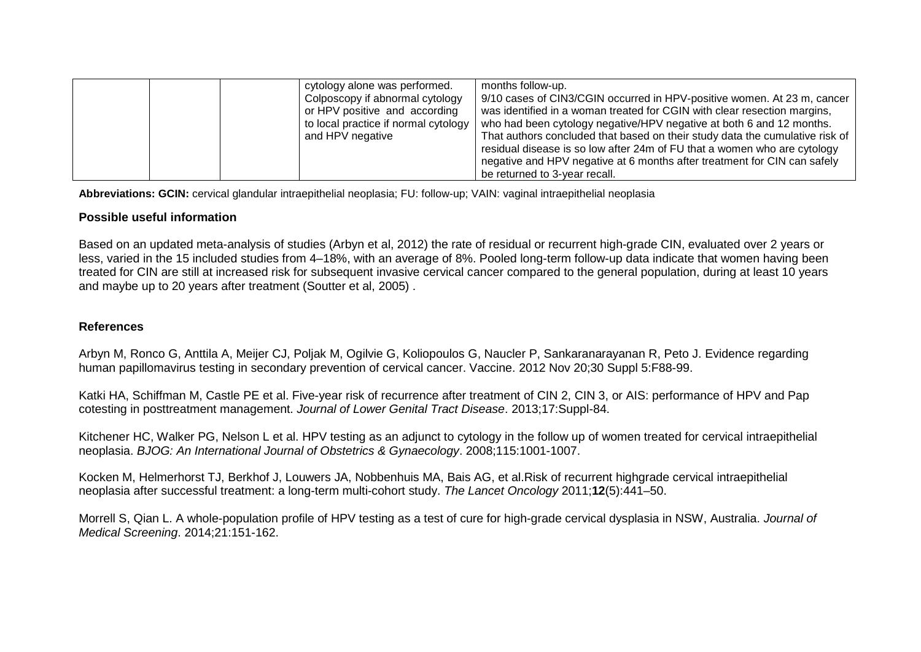| cytology alone was performed.<br>Colposcopy if abnormal cytology<br>or HPV positive and according<br>to local practice if normal cytology<br>and HPV negative | months follow-up.<br>9/10 cases of CIN3/CGIN occurred in HPV-positive women. At 23 m, cancer<br>was identified in a woman treated for CGIN with clear resection margins,<br>who had been cytology negative/HPV negative at both 6 and 12 months.<br>That authors concluded that based on their study data the cumulative risk of<br>residual disease is so low after 24m of FU that a women who are cytology<br>negative and HPV negative at 6 months after treatment for CIN can safely |
|---------------------------------------------------------------------------------------------------------------------------------------------------------------|------------------------------------------------------------------------------------------------------------------------------------------------------------------------------------------------------------------------------------------------------------------------------------------------------------------------------------------------------------------------------------------------------------------------------------------------------------------------------------------|
|                                                                                                                                                               | be returned to 3-year recall.                                                                                                                                                                                                                                                                                                                                                                                                                                                            |

**Abbreviations: GCIN:** cervical glandular intraepithelial neoplasia; FU: follow-up; VAIN: vaginal intraepithelial neoplasia

## **Possible useful information**

Based on an updated meta-analysis of studies (Arbyn et al, 2012) the rate of residual or recurrent high-grade CIN, evaluated over 2 years or less, varied in the 15 included studies from 4–18%, with an average of 8%. Pooled long-term follow-up data indicate that women having been treated for CIN are still at increased risk for subsequent invasive cervical cancer compared to the general population, during at least 10 years and maybe up to 20 years after treatment (Soutter et al, 2005) .

## **References**

Arbyn M, Ronco G, Anttila A, Meijer CJ, Poljak M, Ogilvie G, Koliopoulos G, Naucler P, Sankaranarayanan R, Peto J. Evidence regarding human papillomavirus testing in secondary prevention of cervical cancer. Vaccine. 2012 Nov 20;30 Suppl 5:F88-99.

Katki HA, Schiffman M, Castle PE et al. Five-year risk of recurrence after treatment of CIN 2, CIN 3, or AIS: performance of HPV and Pap cotesting in posttreatment management. *Journal of Lower Genital Tract Disease*. 2013;17:Suppl-84.

Kitchener HC, Walker PG, Nelson L et al. HPV testing as an adjunct to cytology in the follow up of women treated for cervical intraepithelial neoplasia. *BJOG: An International Journal of Obstetrics & Gynaecology*. 2008;115:1001-1007.

Kocken M, Helmerhorst TJ, Berkhof J, Louwers JA, Nobbenhuis MA, Bais AG, et al.Risk of recurrent highgrade cervical intraepithelial neoplasia after successful treatment: a long-term multi-cohort study. *The Lancet Oncology* 2011;**12**(5):441–50.

Morrell S, Qian L. A whole-population profile of HPV testing as a test of cure for high-grade cervical dysplasia in NSW, Australia. *Journal of Medical Screening*. 2014;21:151-162.